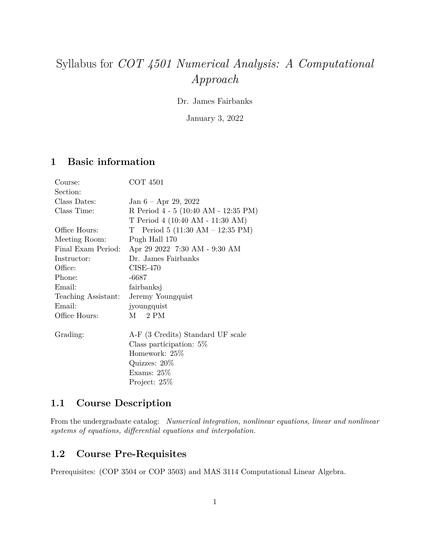# Syllabus for *COT 4501 Numerical Analysis: A Computational Approach*

Dr. James Fairbanks

January 3, 2022

# **1 Basic information**

| COT 4501                                                                 |  |
|--------------------------------------------------------------------------|--|
|                                                                          |  |
| Jan $6 -$ Apr 29, 2022                                                   |  |
| R Period 4 - 5 (10:40 AM - 12:35 PM)<br>T Period 4 (10:40 AM - 11:30 AM) |  |
| T Period $5(11:30 \text{ AM} - 12:35 \text{ PM})$                        |  |
| Pugh Hall 170                                                            |  |
| Final Exam Period:<br>Apr 29 2022 7:30 AM - 9:30 AM                      |  |
| Dr. James Fairbanks                                                      |  |
| $CISE-470$                                                               |  |
| $-6687$                                                                  |  |
| fairbanksj                                                               |  |
| Jeremy Youngquist<br>Teaching Assistant:                                 |  |
| jyoungquist                                                              |  |
| 2 PM<br>M                                                                |  |
| A-F (3 Credits) Standard UF scale                                        |  |
| Class participation: $5\%$                                               |  |
| Homework: 25\%                                                           |  |
| Quizzes: $20\%$                                                          |  |
| Exams: $25\%$                                                            |  |
| Project: $25%$                                                           |  |
|                                                                          |  |

# **1.1 Course Description**

From the undergraduate catalog: *Numerical integration, nonlinear equations, linear and nonlinear systems of equations, differential equations and interpolation.*

## **1.2 Course Pre-Requisites**

Prerequisites: (COP 3504 or COP 3503) and MAS 3114 Computational Linear Algebra.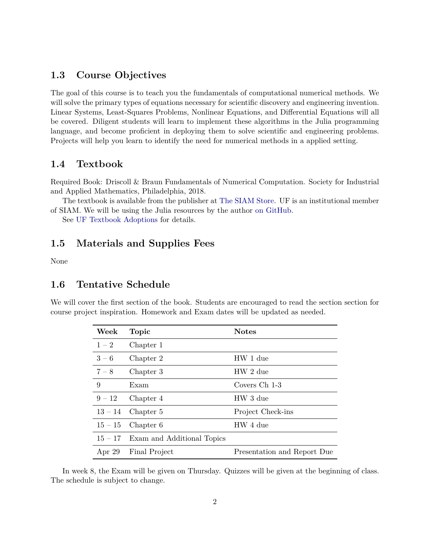## **1.3 Course Objectives**

The goal of this course is to teach you the fundamentals of computational numerical methods. We will solve the primary types of equations necessary for scientific discovery and engineering invention. Linear Systems, Least-Squares Problems, Nonlinear Equations, and Differential Equations will all be covered. Diligent students will learn to implement these algorithms in the Julia programming language, and become proficient in deploying them to solve scientific and engineering problems. Projects will help you learn to identify the need for numerical methods in a applied setting.

#### **1.4 Textbook**

Required Book: Driscoll & Braun Fundamentals of Numerical Computation. Society for Industrial and Applied Mathematics, Philadelphia, 2018.

The textbook is available from the publisher at [The SIAM Store.](https://my.siam.org/Store/Product/viewproduct/?ProductId=29215528) UF is an institutional member of SIAM. We will be using the Julia resources by the author [on GitHub.](https://github.com/tobydriscoll/FundamentalsNumericalComputation.jl)

See [UF Textbook Adoptions](https://www.bsd.ufl.edu/textadoption/Manage/ViewAnAdoption.aspx?adoptId=300159) for details.

#### **1.5 Materials and Supplies Fees**

None

#### **1.6 Tentative Schedule**

We will cover the first section of the book. Students are encouraged to read the section section for course project inspiration. Homework and Exam dates will be updated as needed.

| Week      | <b>Topic</b>                         | <b>Notes</b>                |
|-----------|--------------------------------------|-----------------------------|
| $1 - 2$   | Chapter 1                            |                             |
| $3-6$     | Chapter 2                            | HW 1 due                    |
| $7 - 8$   | Chapter 3                            | HW 2 due                    |
| 9         | Exam                                 | Covers Ch 1-3               |
| $9 - 12$  | Chapter 4                            | HW 3 due                    |
| $13-14$   | Chapter 5                            | Project Check-ins           |
| $15 - 15$ | Chapter 6                            | HW 4 due                    |
|           | $15 - 17$ Exam and Additional Topics |                             |
| Apr $29$  | Final Project                        | Presentation and Report Due |

In week 8, the Exam will be given on Thursday. Quizzes will be given at the beginning of class. The schedule is subject to change.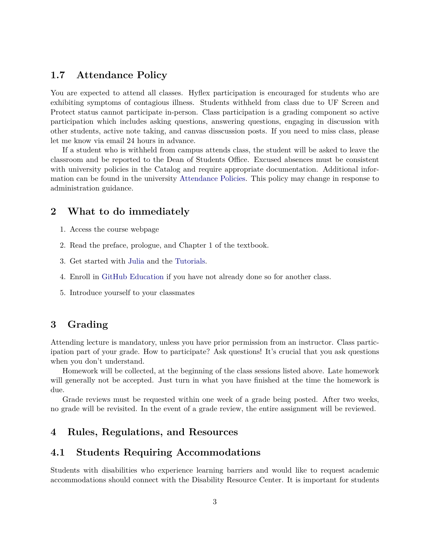### **1.7 Attendance Policy**

You are expected to attend all classes. Hyflex participation is encouraged for students who are exhibiting symptoms of contagious illness. Students withheld from class due to UF Screen and Protect status cannot participate in-person. Class participation is a grading component so active participation which includes asking questions, answering questions, engaging in discussion with other students, active note taking, and canvas disscussion posts. If you need to miss class, please let me know via email 24 hours in advance.

If a student who is withheld from campus attends class, the student will be asked to leave the classroom and be reported to the Dean of Students Office. Excused absences must be consistent with university policies in the Catalog and require appropriate documentation. Additional information can be found in the university [Attendance Policies.](https://catalog.ufl.edu/UGRD/academic-regulations/attendance-policies/) This policy may change in response to administration guidance.

## **2 What to do immediately**

- 1. Access the course webpage
- 2. Read the preface, prologue, and Chapter 1 of the textbook.
- 3. Get started with [Julia](https://julialang.org/) and the [Tutorials.](https://julialang.org/learning/)
- 4. Enroll in [GitHub Education](https://education.github.com) if you have not already done so for another class.
- 5. Introduce yourself to your classmates

## **3 Grading**

Attending lecture is mandatory, unless you have prior permission from an instructor. Class participation part of your grade. How to participate? Ask questions! It's crucial that you ask questions when you don't understand.

Homework will be collected, at the beginning of the class sessions listed above. Late homework will generally not be accepted. Just turn in what you have finished at the time the homework is due.

Grade reviews must be requested within one week of a grade being posted. After two weeks, no grade will be revisited. In the event of a grade review, the entire assignment will be reviewed.

### **4 Rules, Regulations, and Resources**

#### **4.1 Students Requiring Accommodations**

Students with disabilities who experience learning barriers and would like to request academic accommodations should connect with the Disability Resource Center. It is important for students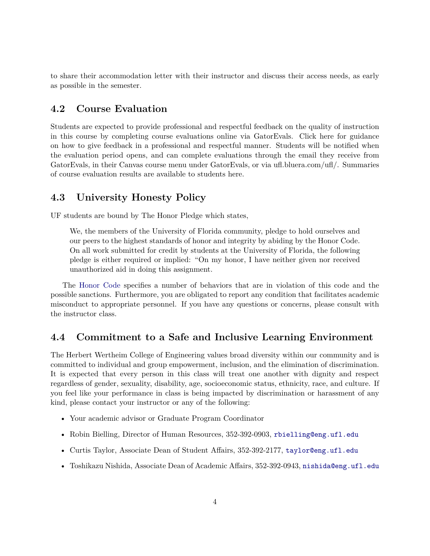to share their accommodation letter with their instructor and discuss their access needs, as early as possible in the semester.

## **4.2 Course Evaluation**

Students are expected to provide professional and respectful feedback on the quality of instruction in this course by completing course evaluations online via GatorEvals. Click here for guidance on how to give feedback in a professional and respectful manner. Students will be notified when the evaluation period opens, and can complete evaluations through the email they receive from GatorEvals, in their Canvas course menu under GatorEvals, or via ufl.bluera.com/ufl/. Summaries of course evaluation results are available to students here.

## **4.3 University Honesty Policy**

UF students are bound by The Honor Pledge which states,

We, the members of the University of Florida community, pledge to hold ourselves and our peers to the highest standards of honor and integrity by abiding by the Honor Code. On all work submitted for credit by students at the University of Florida, the following pledge is either required or implied: "On my honor, I have neither given nor received unauthorized aid in doing this assignment.

The [Honor Code](https://sccr.dso.ufl.edu/policies/student-honor-code-student-conduct- code/) specifies a number of behaviors that are in violation of this code and the possible sanctions. Furthermore, you are obligated to report any condition that facilitates academic misconduct to appropriate personnel. If you have any questions or concerns, please consult with the instructor class.

## **4.4 Commitment to a Safe and Inclusive Learning Environment**

The Herbert Wertheim College of Engineering values broad diversity within our community and is committed to individual and group empowerment, inclusion, and the elimination of discrimination. It is expected that every person in this class will treat one another with dignity and respect regardless of gender, sexuality, disability, age, socioeconomic status, ethnicity, race, and culture. If you feel like your performance in class is being impacted by discrimination or harassment of any kind, please contact your instructor or any of the following:

- Your academic advisor or Graduate Program Coordinator
- Robin Bielling, Director of Human Resources, 352-392-0903, <rbielling@eng.ufl.edu>
- Curtis Taylor, Associate Dean of Student Affairs, 352-392-2177, <taylor@eng.ufl.edu>
- Toshikazu Nishida, Associate Dean of Academic Affairs, 352-392-0943, <nishida@eng.ufl.edu>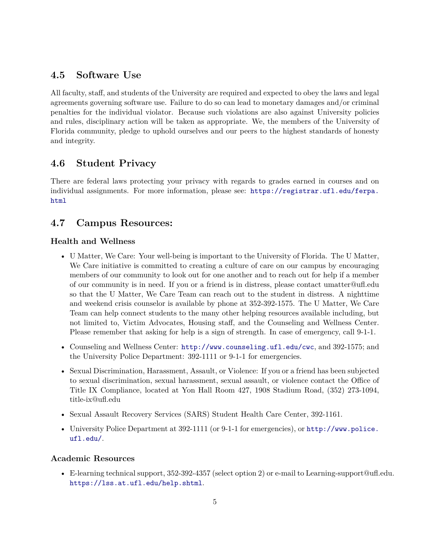## **4.5 Software Use**

All faculty, staff, and students of the University are required and expected to obey the laws and legal agreements governing software use. Failure to do so can lead to monetary damages and/or criminal penalties for the individual violator. Because such violations are also against University policies and rules, disciplinary action will be taken as appropriate. We, the members of the University of Florida community, pledge to uphold ourselves and our peers to the highest standards of honesty and integrity.

## **4.6 Student Privacy**

There are federal laws protecting your privacy with regards to grades earned in courses and on individual assignments. For more information, please see: [https://registrar.ufl.edu/ferpa.](https://registrar.ufl.edu/ferpa.html) [html](https://registrar.ufl.edu/ferpa.html)

# **4.7 Campus Resources:**

#### **Health and Wellness**

- U Matter, We Care: Your well-being is important to the University of Florida. The U Matter, We Care initiative is committed to creating a culture of care on our campus by encouraging members of our community to look out for one another and to reach out for help if a member of our community is in need. If you or a friend is in distress, please contact umatter@ufl.edu so that the U Matter, We Care Team can reach out to the student in distress. A nighttime and weekend crisis counselor is available by phone at 352-392-1575. The U Matter, We Care Team can help connect students to the many other helping resources available including, but not limited to, Victim Advocates, Housing staff, and the Counseling and Wellness Center. Please remember that asking for help is a sign of strength. In case of emergency, call 9-1-1.
- Counseling and Wellness Center: <http://www.counseling.ufl.edu/cwc>, and 392-1575; and the University Police Department: 392-1111 or 9-1-1 for emergencies.
- Sexual Discrimination, Harassment, Assault, or Violence: If you or a friend has been subjected to sexual discrimination, sexual harassment, sexual assault, or violence contact the Office of Title IX Compliance, located at Yon Hall Room 427, 1908 Stadium Road, (352) 273-1094, title-ix@ufl.edu
- Sexual Assault Recovery Services (SARS) Student Health Care Center, 392-1161.
- University Police Department at 392-1111 (or 9-1-1 for emergencies), or [http://www.police.](http://www.police.ufl.edu/) [ufl.edu/](http://www.police.ufl.edu/).

#### **Academic Resources**

• E-learning technical support, 352-392-4357 (select option 2) or e-mail to Learning-support@ufl.edu. <https://lss.at.ufl.edu/help.shtml>.